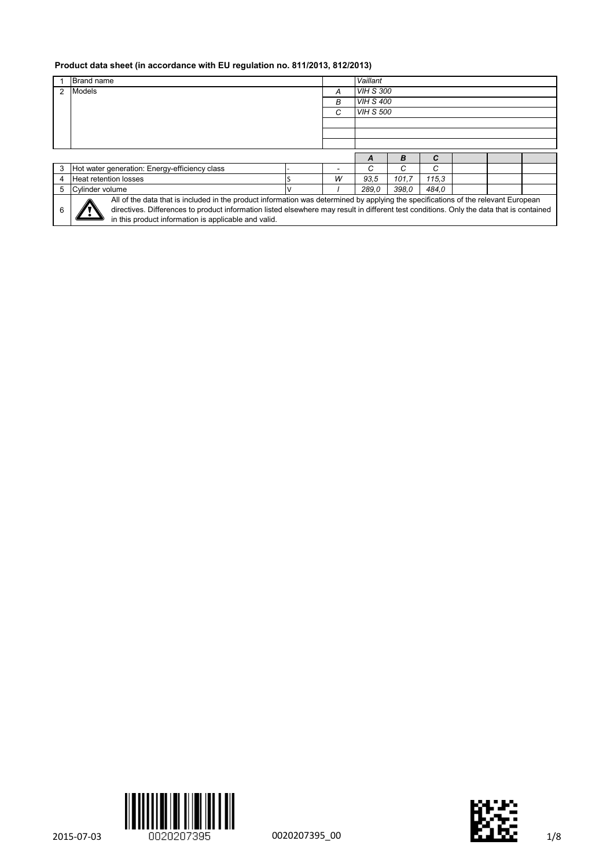## **Product data sheet (in accordance with EU regulation no. 811/2013, 812/2013)**

|   | <b>Brand name</b>                                                                                                                                                                                                                                                                                                                      |  |   | Vaillant                             |       |       |  |  |  |  |
|---|----------------------------------------------------------------------------------------------------------------------------------------------------------------------------------------------------------------------------------------------------------------------------------------------------------------------------------------|--|---|--------------------------------------|-------|-------|--|--|--|--|
|   | Models                                                                                                                                                                                                                                                                                                                                 |  | А | <b>VIH S 300</b>                     |       |       |  |  |  |  |
|   |                                                                                                                                                                                                                                                                                                                                        |  | B | <b>VIH S 400</b><br><b>VIH S 500</b> |       |       |  |  |  |  |
|   |                                                                                                                                                                                                                                                                                                                                        |  | C |                                      |       |       |  |  |  |  |
|   |                                                                                                                                                                                                                                                                                                                                        |  |   |                                      |       |       |  |  |  |  |
|   |                                                                                                                                                                                                                                                                                                                                        |  |   |                                      |       |       |  |  |  |  |
|   |                                                                                                                                                                                                                                                                                                                                        |  |   |                                      |       |       |  |  |  |  |
|   |                                                                                                                                                                                                                                                                                                                                        |  |   | A                                    | в     | C     |  |  |  |  |
| 3 | Hot water generation: Energy-efficiency class                                                                                                                                                                                                                                                                                          |  |   | C                                    | C     | C     |  |  |  |  |
| 4 | <b>Heat retention losses</b>                                                                                                                                                                                                                                                                                                           |  | W | 93.5                                 | 101.7 | 115.3 |  |  |  |  |
| 5 | Cylinder volume                                                                                                                                                                                                                                                                                                                        |  |   | 289.0                                | 398.0 | 484.0 |  |  |  |  |
| 6 | All of the data that is included in the product information was determined by applying the specifications of the relevant European<br>directives. Differences to product information listed elsewhere may result in different test conditions. Only the data that is contained<br>in this product information is applicable and valid. |  |   |                                      |       |       |  |  |  |  |



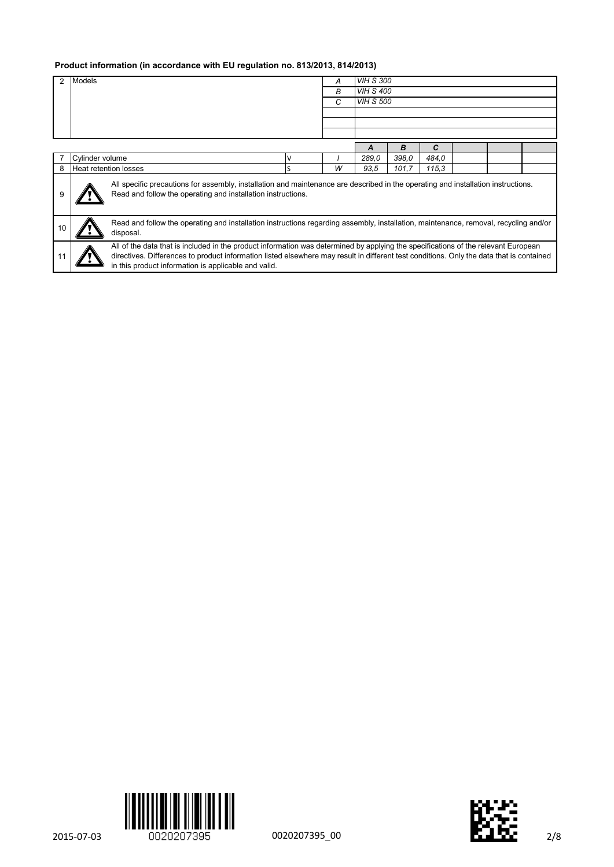## **Product information (in accordance with EU regulation no. 813/2013, 814/2013)**

|    | <b>Models</b>                                                                                                                                                                                                                                                                                                                          |  | А | <b>VIH S 300</b> |       |       |  |  |  |  |  |
|----|----------------------------------------------------------------------------------------------------------------------------------------------------------------------------------------------------------------------------------------------------------------------------------------------------------------------------------------|--|---|------------------|-------|-------|--|--|--|--|--|
|    |                                                                                                                                                                                                                                                                                                                                        |  | В | <b>VIH S 400</b> |       |       |  |  |  |  |  |
|    |                                                                                                                                                                                                                                                                                                                                        |  |   |                  |       |       |  |  |  |  |  |
|    |                                                                                                                                                                                                                                                                                                                                        |  | C | <b>VIH S 500</b> |       |       |  |  |  |  |  |
|    |                                                                                                                                                                                                                                                                                                                                        |  |   |                  |       |       |  |  |  |  |  |
|    |                                                                                                                                                                                                                                                                                                                                        |  |   |                  |       |       |  |  |  |  |  |
|    |                                                                                                                                                                                                                                                                                                                                        |  |   |                  |       |       |  |  |  |  |  |
|    |                                                                                                                                                                                                                                                                                                                                        |  |   |                  | В     | C     |  |  |  |  |  |
|    |                                                                                                                                                                                                                                                                                                                                        |  |   | A                |       |       |  |  |  |  |  |
|    | Cylinder volume                                                                                                                                                                                                                                                                                                                        |  |   | 289,0            | 398.0 | 484.0 |  |  |  |  |  |
| 8  | <b>Heat retention losses</b>                                                                                                                                                                                                                                                                                                           |  | W | 93.5             | 101,7 | 115,3 |  |  |  |  |  |
|    | All specific precautions for assembly, installation and maintenance are described in the operating and installation instructions.<br>Read and follow the operating and installation instructions.                                                                                                                                      |  |   |                  |       |       |  |  |  |  |  |
| 10 | Read and follow the operating and installation instructions regarding assembly, installation, maintenance, removal, recycling and/or<br>disposal.                                                                                                                                                                                      |  |   |                  |       |       |  |  |  |  |  |
|    | All of the data that is included in the product information was determined by applying the specifications of the relevant European<br>directives. Differences to product information listed elsewhere may result in different test conditions. Only the data that is contained<br>in this product information is applicable and valid. |  |   |                  |       |       |  |  |  |  |  |



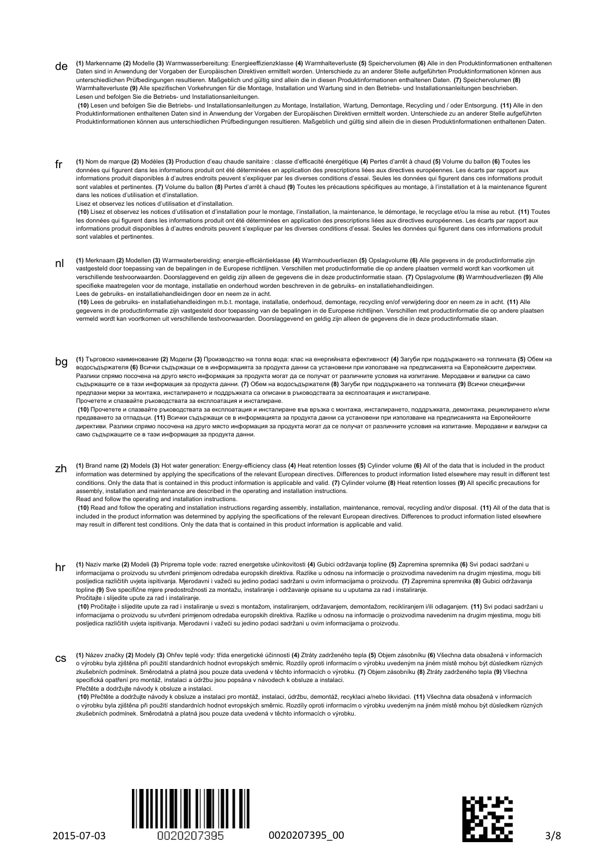de **(1)** Markenname **(2)** Modelle **(3)** Warmwasserbereitung: Energieeffizienzklasse **(4)** Warmhalteverluste **(5)** Speichervolumen **(6)** Alle in den Produktinformationen enthaltenen Daten sind in Anwendung der Vorgaben der Europäischen Direktiven ermittelt worden. Unterschiede zu an anderer Stelle aufgeführten Produktinformationen können aus unterschiedlichen Prüfbedingungen resultieren. Maßgeblich und gültig sind allein die in diesen Produktinformationen enthaltenen Daten. **(7)** Speichervolumen **(8)**  Warmhalteverluste **(9)** Alle spezifischen Vorkehrungen für die Montage, Installation und Wartung sind in den Betriebs- und Installationsanleitungen beschrieben. Lesen und befolgen Sie die Betriebs- und Installationsanleitungen.

**(10)** Lesen und befolgen Sie die Betriebs- und Installationsanleitungen zu Montage, Installation, Wartung, Demontage, Recycling und / oder Entsorgung. **(11)** Alle in den Produktinformationen enthaltenen Daten sind in Anwendung der Vorgaben der Europäischen Direktiven ermittelt worden. Unterschiede zu an anderer Stelle aufgeführten Produktinformationen können aus unterschiedlichen Prüfbedingungen resultieren. Maßgeblich und gültig sind allein die in diesen Produktinformationen enthaltenen Daten.

fr **(1)** Nom de marque **(2)** Modèles **(3)** Production d'eau chaude sanitaire : classe d'efficacité énergétique **(4)** Pertes d'arrêt à chaud **(5)** Volume du ballon **(6)** Toutes les données qui figurent dans les informations produit ont été déterminées en application des prescriptions liées aux directives européennes. Les écarts par rapport aux informations produit disponibles à d'autres endroits peuvent s'expliquer par les diverses conditions d'essai. Seules les données qui figurent dans ces informations produit sont valables et pertinentes. **(7)** Volume du ballon **(8)** Pertes d'arrêt à chaud **(9)** Toutes les précautions spécifiques au montage, à l'installation et à la maintenance figurent dans les notices d'utilisation et d'installation.

Lisez et observez les notices d'utilisation et d'installation.

**(10)** Lisez et observez les notices d'utilisation et d'installation pour le montage, l'installation, la maintenance, le démontage, le recyclage et/ou la mise au rebut. **(11)** Toutes les données qui figurent dans les informations produit ont été déterminées en application des prescriptions liées aux directives européennes. Les écarts par rapport aux informations produit disponibles à d'autres endroits peuvent s'expliquer par les diverses conditions d'essai. Seules les données qui figurent dans ces informations produit sont valables et pertinentes.

nl **(1)** Merknaam **(2)** Modellen **(3)** Warmwaterbereiding: energie-efficiëntieklasse **(4)** Warmhoudverliezen **(5)** Opslagvolume **(6)** Alle gegevens in de productinformatie zijn vastgesteld door toepassing van de bepalingen in de Europese richtlijnen. Verschillen met productinformatie die op andere plaatsen vermeld wordt kan voortkomen uit verschillende testvoorwaarden. Doorslaggevend en geldig zijn alleen de gegevens die in deze productinformatie staan. **(7)** Opslagvolume **(8)** Warmhoudverliezen **(9)** Alle specifieke maatregelen voor de montage, installatie en onderhoud worden beschreven in de gebruiks- en installatiehandleidingen. Lees de gebruiks- en installatiehandleidingen door en neem ze in acht.

**(10)** Lees de gebruiks- en installatiehandleidingen m.b.t. montage, installatie, onderhoud, demontage, recycling en/of verwijdering door en neem ze in acht. **(11)** Alle gegevens in de productinformatie zijn vastgesteld door toepassing van de bepalingen in de Europese richtlijnen. Verschillen met productinformatie die op andere plaatsen vermeld wordt kan voortkomen uit verschillende testvoorwaarden. Doorslaggevend en geldig zijn alleen de gegevens die in deze productinformatie staan.

bg **(1)** Търговско наименование **(2)** Модели **(3)** Производство на топла вода: клас на енергийната ефективност **(4)** Загуби при поддържането на топлината **(5)** Обем на водосъдържателя **(6)** Всички съдържащи се в информацията за продукта данни са установени при използване на предписанията на Европейските директиви. Разлики спрямо посочена на друго място информация за продукта могат да се получат от различните условия на изпитание. Меродавни и валидни са само съдържащите се в тази информация за продукта данни. **(7)** Обем на водосъдържателя **(8)** Загуби при поддържането на топлината **(9)** Всички специфични предпазни мерки за монтажа, инсталирането и поддръжката са описани в ръководствата за експлоатация и инсталиране. Прочетете и спазвайте ръководствата за експлоатация и инсталиране.

**(10)** Прочетете и спазвайте ръководствата за експлоатация и инсталиране във връзка с монтажа, инсталирането, поддръжката, демонтажа, рециклирането и/или предаването за отпадъци. **(11)** Всички съдържащи се в информацията за продукта данни са установени при използване на предписанията на Европейските директиви. Разлики спрямо посочена на друго място информация за продукта могат да се получат от различните условия на изпитание. Меродавни и валидни са само съдържащите се в тази информация за продукта данни.

zh **(1)** Brand name **(2)** Models **(3)** Hot water generation: Energy-efficiency class **(4)** Heat retention losses **(5)** Cylinder volume **(6)** All of the data that is included in the product information was determined by applying the specifications of the relevant European directives. Differences to product information listed elsewhere may result in different test conditions. Only the data that is contained in this product information is applicable and valid. **(7)** Cylinder volume **(8)** Heat retention losses **(9)** All specific precautions for assembly, installation and maintenance are described in the operating and installation instructions.

Read and follow the operating and installation instructions.

**(10)** Read and follow the operating and installation instructions regarding assembly, installation, maintenance, removal, recycling and/or disposal. **(11)** All of the data that is included in the product information was determined by applying the specifications of the relevant European directives. Differences to product information listed elsewhere may result in different test conditions. Only the data that is contained in this product information is applicable and valid.

hr **(1)** Naziv marke **(2)** Modeli **(3)** Priprema tople vode: razred energetske učinkovitosti **(4)** Gubici održavanja topline **(5)** Zapremina spremnika **(6)** Svi podaci sadržani u informacijama o proizvodu su utvrđeni primjenom odredaba europskih direktiva. Razlike u odnosu na informacije o proizvodima navedenim na drugim mjestima, mogu biti posljedica različitih uvjeta ispitivanja. Mjerodavni i važeći su jedino podaci sadržani u ovim informacijama o proizvodu. **(7)** Zapremina spremnika **(8)** Gubici održavanja topline **(9)** Sve specifične mjere predostrožnosti za montažu, instaliranje i održavanje opisane su u uputama za rad i instaliranje. Pročitajte i slijedite upute za rad i instaliranje.

**(10)** Pročitajte i slijedite upute za rad i instaliranje u svezi s montažom, instaliranjem, održavanjem, demontažom, recikliranjem i/ili odlaganjem. **(11)** Svi podaci sadržani u informacijama o proizvodu su utvrđeni primjenom odredaba europskih direktiva. Razlike u odnosu na informacije o proizvodima navedenim na drugim mjestima, mogu biti posljedica različitih uvjeta ispitivanja. Mjerodavni i važeći su jedino podaci sadržani u ovim informacijama o proizvodu.

cs **(1)** Název značky **(2)** Modely **(3)** Ohřev teplé vody: třída energetické účinnosti **(4)** Ztráty zadrženého tepla **(5)** Objem zásobníku **(6)** Všechna data obsažená v informacích o výrobku byla zjištěna při použití standardních hodnot evropských směrnic. Rozdíly oproti informacím o výrobku uvedeným na jiném místě mohou být důsledkem různých zkušebních podmínek. Směrodatná a platná jsou pouze data uvedená v těchto informacích o výrobku. **(7)** Objem zásobníku **(8)** Ztráty zadrženého tepla **(9)** Všechna specifická opatření pro montáž, instalaci a údržbu jsou popsána v návodech k obsluze a instalaci.

Přečtěte a dodržujte návody k obsluze a instalaci.

**(10)** Přečtěte a dodržujte návody k obsluze a instalaci pro montáž, instalaci, údržbu, demontáž, recyklaci a/nebo likvidaci. **(11)** Všechna data obsažená v informacích o výrobku byla zjištěna při použití standardních hodnot evropských směrnic. Rozdíly oproti informacím o výrobku uvedeným na jiném místě mohou být důsledkem různých zkušebních podmínek. Směrodatná a platná jsou pouze data uvedená v těchto informacích o výrobku.





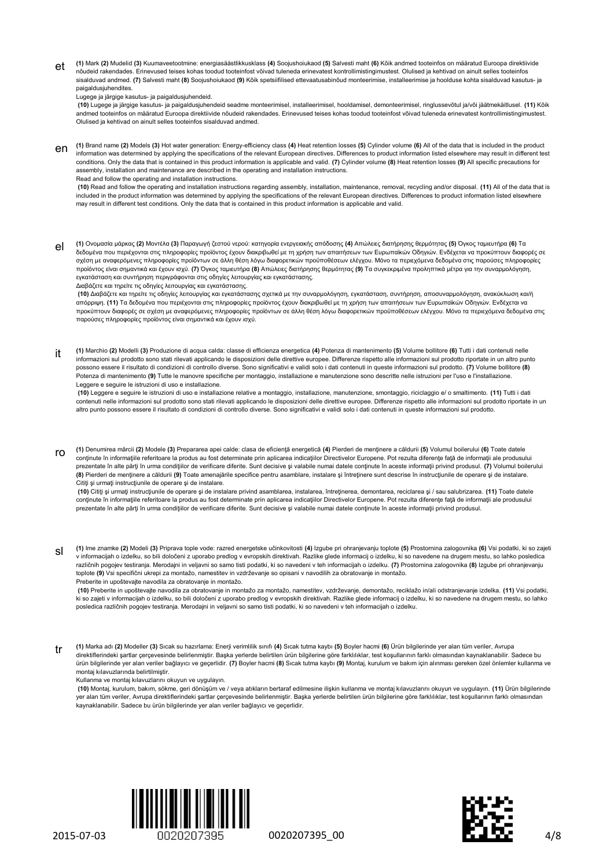et **(1)** Mark **(2)** Mudelid **(3)** Kuumaveetootmine: energiasäästlikkusklass **(4)** Soojushoiukaod **(5)** Salvesti maht **(6)** Kõik andmed tooteinfos on määratud Euroopa direktiivide nõudeid rakendades. Erinevused teises kohas toodud tooteinfost võivad tuleneda erinevatest kontrollimistingimustest. Olulised ja kehtivad on ainult selles tooteinfos sisalduvad andmed. **(7)** Salvesti maht **(8)** Soojushoiukaod **(9)** Kõik spetsiifilised ettevaatusabinõud monteerimise, installeerimise ja hoolduse kohta sisalduvad kasutus- ja paigaldusjuhendites

Lugege ja järgige kasutus- ja paigaldusjuhendeid.

**(10)** Lugege ja järgige kasutus- ja paigaldusjuhendeid seadme monteerimisel, installeerimisel, hooldamisel, demonteerimisel, ringlussevõtul ja/või jäätmekäitlusel. **(11)** Kõik andmed tooteinfos on määratud Euroopa direktiivide nõudeid rakendades. Erinevused teises kohas toodud tooteinfost võivad tuleneda erinevatest kontrollimistingimustest. Olulised ja kehtivad on ainult selles tooteinfos sisalduvad andmed.

(1) Brand name (2) Models (3) Hot water generation: Energy-efficiency class (4) Heat retention losses (5) Cylinder volume (6) All of the data that is included in the product<br>information was determined by applying the speci conditions. Only the data that is contained in this product information is applicable and valid. **(7)** Cylinder volume **(8)** Heat retention losses **(9)** All specific precautions for assembly, installation and maintenance are described in the operating and installation instructions. Read and follow the operating and installation instructions.

**(10)** Read and follow the operating and installation instructions regarding assembly, installation, maintenance, removal, recycling and/or disposal. **(11)** All of the data that is included in the product information was determined by applying the specifications of the relevant European directives. Differences to product information listed elsewhere may result in different test conditions. Only the data that is contained in this product information is applicable and valid.

el **(1)** Ονομασία μάρκας **(2)** Μοντέλα **(3)** Παραγωγή ζεστού νερού: κατηγορία ενεργειακής απόδοσης **(4)** Απώλειες διατήρησης θερμότητας **(5)** Όγκος ταμιευτήρα **(6)** Τα δεδομένα που περιέχονται στις πληροφορίες προϊόντος έχουν διακριβωθεί με τη χρήση των απαιτήσεων των Ευρωπαϊκών Οδηγιών. Ενδέχεται να προκύπτουν διαφορές σε σχέση με αναφερόμενες πληροφορίες προϊόντων σε άλλη θέση λόγω διαφορετικών προϋποθέσεων ελέγχου. Μόνο τα περιεχόμενα δεδομένα στις παρούσες πληροφορίες προϊόντος είναι σημαντικά και έχουν ισχύ. **(7)** Όγκος ταμιευτήρα **(8)** Απώλειες διατήρησης θερμότητας **(9)** Τα συγκεκριμένα προληπτικά μέτρα για την συναρμολόγηση, εγκατάσταση και συντήρηση περιγράφονται στις οδηγίες λειτουργίας και εγκατάστασης.

Διαβάζετε και τηρείτε τις οδηγίες λειτουργίας και εγκατάστασης.

**(10)** Διαβάζετε και τηρείτε τις οδηγίες λειτουργίας και εγκατάστασης σχετικά με την συναρμολόγηση, εγκατάσταση, συντήρηση, αποσυναρμολόγηση, ανακύκλωση και/ή απόρριψη. **(11)** Τα δεδομένα που περιέχονται στις πληροφορίες προϊόντος έχουν διακριβωθεί με τη χρήση των απαιτήσεων των Ευρωπαϊκών Οδηγιών. Ενδέχεται να προκύπτουν διαφορές σε σχέση με αναφερόμενες πληροφορίες προϊόντων σε άλλη θέση λόγω διαφορετικών προϋποθέσεων ελέγχου. Μόνο τα περιεχόμενα δεδομένα στις παρούσες πληροφορίες προϊόντος είναι σημαντικά και έχουν ισχύ.

it **(1)** Marchio **(2)** Modelli **(3)** Produzione di acqua calda: classe di efficienza energetica **(4)** Potenza di mantenimento **(5)** Volume bollitore **(6)** Tutti i dati contenuti nelle informazioni sul prodotto sono stati rilevati applicando le disposizioni delle direttive europee. Differenze rispetto alle informazioni sul prodotto riportate in un altro punto possono essere il risultato di condizioni di controllo diverse. Sono significativi e validi solo i dati contenuti in queste informazioni sul prodotto. **(7)** Volume bollitore **(8)**  Potenza di mantenimento (9) Tutte le manovre specifiche per montaggio, installazione e manutenzione sono descritte nelle istruzioni per l'uso e l'installazione. Leggere e seguire le istruzioni di uso e installazione.

**(10)** Leggere e seguire le istruzioni di uso e installazione relative a montaggio, installazione, manutenzione, smontaggio, riciclaggio e/ o smaltimento. **(11)** Tutti i dati contenuti nelle informazioni sul prodotto sono stati rilevati applicando le disposizioni delle direttive europee. Differenze rispetto alle informazioni sul prodotto riportate in un altro punto possono essere il risultato di condizioni di controllo diverse. Sono significativi e validi solo i dati contenuti in queste informazioni sul prodotto.

ro **(1)** Denumirea mărcii **(2)** Modele **(3)** Prepararea apei calde: clasa de eficienţă energetică **(4)** Pierderi de menţinere a căldurii **(5)** Volumul boilerului **(6)** Toate datele conținute în informațiile referitoare la produs au fost determinate prin aplicarea indicațiilor Directivelor Europene. Pot rezulta diferențe față de informații ale produsului prezentate în alte părţi în urma condiţiilor de verificare diferite. Sunt decisive şi valabile numai datele conţinute în aceste informaţii privind produsul. **(7)** Volumul boilerului **(8)** Pierderi de menţinere a căldurii **(9)** Toate amenajările specifice pentru asamblare, instalare şi întreţinere sunt descrise în instrucţiunile de operare şi de instalare. Citiţi şi urmaţi instrucţiunile de operare şi de instalare.

**(10)** Citiţi şi urmaţi instrucţiunile de operare şi de instalare privind asamblarea, instalarea, întreţinerea, demontarea, reciclarea şi / sau salubrizarea. **(11)** Toate datele conținute în informațiile referitoare la produs au fost determinate prin aplicarea indicațiilor Directivelor Europene. Pot rezulta diferențe față de informații ale produsului prezentate în alte părţi în urma condiţiilor de verificare diferite. Sunt decisive şi valabile numai datele conţinute în aceste informaţii privind produsul.

sl **(1)** Ime znamke **(2)** Modeli **(3)** Priprava tople vode: razred energetske učinkovitosti **(4)** Izgube pri ohranjevanju toplote **(5)** Prostornina zalogovnika **(6)** Vsi podatki, ki so zajeti v informacijah o izdelku, so bili določeni z uporabo predlog v evropskih direktivah. Razlike glede informacij o izdelku, ki so navedene na drugem mestu, so lahko posledica različnih pogojev testiranja. Merodajni in veljavni so samo tisti podatki, ki so navedeni v teh informacijah o izdelku. **(7)** Prostornina zalogovnika **(8)** Izgube pri ohranjevanju toplote **(9)** Vsi specifični ukrepi za montažo, namestitev in vzdrževanje so opisani v navodilih za obratovanje in montažo. Preberite in upoštevajte navodila za obratovanje in montažo.

**(10)** Preberite in upoštevajte navodila za obratovanje in montažo za montažo, namestitev, vzdrževanje, demontažo, reciklažo in/ali odstranjevanje izdelka. **(11)** Vsi podatki, ki so zajeti v informacijah o izdelku, so bili določeni z uporabo predlog v evropskih direktivah. Razlike glede informacij o izdelku, ki so navedene na drugem mestu, so lahko posledica različnih pogojev testiranja. Merodajni in veljavni so samo tisti podatki, ki so navedeni v teh informacijah o izdelku.

tr **(1)** Marka adı **(2)** Modeller **(3)** Sıcak su hazırlama: Enerji verimlilik sınıfı **(4)** Sıcak tutma kaybı **(5)** Boyler hacmi **(6)** Ürün bilgilerinde yer alan tüm veriler, Avrupa direktiflerindeki şartlar çerçevesinde belirlenmiştir. Başka yerlerde belirtilen ürün bilgilerine göre farklılıklar, test koşullarının farklı olmasından kaynaklanabilir. Sadece bu ürün bilgilerinde yer alan veriler bağlayıcı ve geçerlidir. **(7)** Boyler hacmi **(8)** Sıcak tutma kaybı **(9)** Montaj, kurulum ve bakım için alınması gereken özel önlemler kullanma ve montaj kılavuzlarında belirtilmiştir.

Kullanma ve montaj kılavuzlarını okuyun ve uygulayın.

**(10)** Montaj, kurulum, bakım, sökme, geri dönüşüm ve / veya atıkların bertaraf edilmesine ilişkin kullanma ve montaj kılavuzlarını okuyun ve uygulayın. **(11)** Ürün bilgilerinde yer alan tüm veriler, Avrupa direktiflerindeki şartlar çerçevesinde belirlenmiştir. Başka yerlerde belirtilen ürün bilgilerine göre farklılıklar, test koşullarının farklı olmasından kaynaklanabilir. Sadece bu ürün bilgilerinde yer alan veriler bağlayıcı ve geçerlidir.



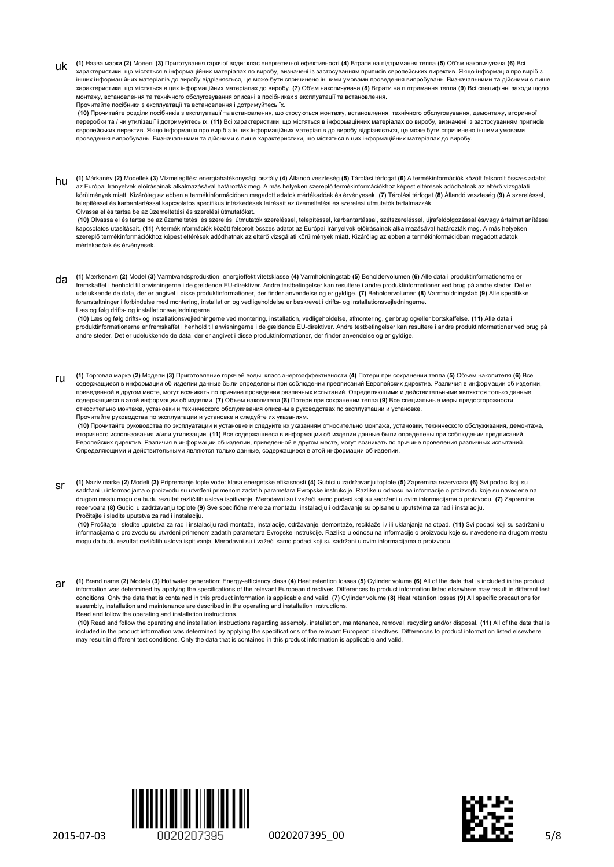uk **(1)** Назва марки **(2)** Моделі **(3)** Приготування гарячої води: клас енергетичної ефективності **(4)** Втрати на підтримання тепла **(5)** Об'єм накопичувача **(6)** Всі характеристики, що містяться в інформаційних матеріалах до виробу, визначені із застосуванням приписів європейських директив. Якщо інформація про виріб з інших інформаційних матеріалів до виробу відрізняється, це може бути спричинено іншими умовами проведення випробувань. Визначальними та дійсними є лише характеристики, що містяться в цих інформаційних матеріалах до виробу. **(7)** Об'єм накопичувача **(8)** Втрати на підтримання тепла **(9)** Всі специфічні заходи щодо монтажу, встановлення та технічного обслуговування описані в посібниках з експлуатації та встановлення.

Прочитайте посібники з експлуатації та встановлення і дотримуйтесь їх.

**(10)** Прочитайте розділи посібників з експлуатації та встановлення, що стосуються монтажу, встановлення, технічного обслуговування, демонтажу, вторинної переробки та / чи утилізації і дотримуйтесь їх. **(11)** Всі характеристики, що містяться в інформаційних матеріалах до виробу, визначені із застосуванням приписів європейських директив. Якщо інформація про виріб з інших інформаційних матеріалів до виробу відрізняється, це може бути спричинено іншими умовами проведення випробувань. Визначальними та дійсними є лише характеристики, що містяться в цих інформаційних матеріалах до виробу.

hu **(1)** Márkanév **(2)** Modellek **(3)** Vízmelegítés: energiahatékonysági osztály **(4)** Állandó veszteség **(5)** Tárolási térfogat **(6)** A termékinformációk között felsorolt összes adatot az Európai Irányelvek előírásainak alkalmazásával határozták meg. A más helyeken szereplő termékinformációkhoz képest eltérések adódhatnak az eltérő vizsgálati körülmények miatt. Kizárólag az ebben a termékinformációban megadott adatok mértékadóak és érvényesek. **(7)** Tárolási térfogat **(8)** Állandó veszteség **(9)** A szereléssel, telepítéssel és karbantartással kapcsolatos specifikus intézkedések leírásait az üzemeltetési és szerelési útmutatók tartalmazzák. Olvassa el és tartsa be az üzemeltetési és szerelési útmutatókat.

**(10)** Olvassa el és tartsa be az üzemeltetési és szerelési útmutatók szereléssel, telepítéssel, karbantartással, szétszereléssel, újrafeldolgozással és/vagy ártalmatlanítással kapcsolatos utasításait. **(11)** A termékinformációk között felsorolt összes adatot az Európai Irányelvek előírásainak alkalmazásával határozták meg. A más helyeken szereplő termékinformációkhoz képest eltérések adódhatnak az eltérő vizsgálati körülmények miatt. Kizárólag az ebben a termékinformációban megadott adatok mértékadóak és érvényesek.

da **(1)** Mærkenavn **(2)** Model **(3)** Varmtvandsproduktion: energieffektivitetsklasse **(4)** Varmholdningstab **(5)** Beholdervolumen **(6)** Alle data i produktinformationerne er fremskaffet i henhold til anvisningerne i de gældende EU-direktiver. Andre testbetingelser kan resultere i andre produktinformationer ved brug på andre steder. Det er udelukkende de data, der er angivet i disse produktinformationer, der finder anvendelse og er gyldige. **(7)** Beholdervolumen **(8)** Varmholdningstab **(9)** Alle specifikke foranstaltninger i forbindelse med montering, installation og vedligeholdelse er beskrevet i drifts- og installationsvejledningerne. Læs og følg drifts- og installationsvejledningerne.

**(10)** Læs og følg drifts- og installationsvejledningerne ved montering, installation, vedligeholdelse, afmontering, genbrug og/eller bortskaffelse. **(11)** Alle data i produktinformationerne er fremskaffet i henhold til anvisningerne i de gældende EU-direktiver. Andre testbetingelser kan resultere i andre produktinformationer ved brug på andre steder. Det er udelukkende de data, der er angivet i disse produktinformationer, der finder anvendelse og er gyldige.

ru **(1)** Торговая марка **(2)** Модели **(3)** Приготовление горячей воды: класс энергоэффективности **(4)** Потери при сохранении тепла **(5)** Объем накопителя **(6)** Все содержащиеся в информации об изделии данные были определены при соблюдении предписаний Европейских директив. Различия в информации об изделии, приведенной в другом месте, могут возникать по причине проведения различных испытаний. Определяющими и действительными являются только данные, содержащиеся в этой информации об изделии. **(7)** Объем накопителя **(8)** Потери при сохранении тепла **(9)** Все специальные меры предосторожности относительно монтажа, установки и технического обслуживания описаны в руководствах по эксплуатации и установке. Прочитайте руководства по эксплуатации и установке и следуйте их указаниям.

**(10)** Прочитайте руководства по эксплуатации и установке и следуйте их указаниям относительно монтажа, установки, технического обслуживания, демонтажа, вторичного использования и/или утилизации. **(11)** Все содержащиеся в информации об изделии данные были определены при соблюдении предписаний Европейских директив. Различия в информации об изделии, приведенной в другом месте, могут возникать по причине проведения различных испытаний. Определяющими и действительными являются только данные, содержащиеся в этой информации об изделии.

sr **(1)** Naziv marke **(2)** Modeli **(3)** Pripremanje tople vode: klasa energetske efikasnosti **(4)** Gubici u zadržavanju toplote **(5)** Zapremina rezervoara **(6)** Svi podaci koji su sadržani u informacijama o proizvodu su utvrđeni primenom zadatih parametara Evropske instrukcije. Razlike u odnosu na informacije o proizvodu koje su navedene na drugom mestu mogu da budu rezultat različitih uslova ispitivanja. Merodavni su i važeći samo podaci koji su sadržani u ovim informacijama o proizvodu. **(7)** Zapremina rezervoara **(8)** Gubici u zadržavanju toplote **(9)** Sve specifične mere za montažu, instalaciju i održavanje su opisane u uputstvima za rad i instalaciju. Pročitajte i sledite uputstva za rad i instalaciju.

**(10)** Pročitajte i sledite uputstva za rad i instalaciju radi montaže, instalacije, održavanje, demontaže, reciklaže i / ili uklanjanja na otpad. **(11)** Svi podaci koji su sadržani u informacijama o proizvodu su utvrđeni primenom zadatih parametara Evropske instrukcije. Razlike u odnosu na informacije o proizvodu koje su navedene na drugom mestu mogu da budu rezultat različitih uslova ispitivanja. Merodavni su i važeći samo podaci koji su sadržani u ovim informacijama o proizvodu.

ar **(1)** Brand name **(2)** Models **(3)** Hot water generation: Energy-efficiency class **(4)** Heat retention losses **(5)** Cylinder volume **(6)** All of the data that is included in the product information was determined by applying the specifications of the relevant European directives. Differences to product information listed elsewhere may result in different test conditions. Only the data that is contained in this product information is applicable and valid. **(7)** Cylinder volume **(8)** Heat retention losses **(9)** All specific precautions for assembly, installation and maintenance are described in the operating and installation instructions. Read and follow the operating and installation instructions.

**(10)** Read and follow the operating and installation instructions regarding assembly, installation, maintenance, removal, recycling and/or disposal. **(11)** All of the data that is included in the product information was determined by applying the specifications of the relevant European directives. Differences to product information listed elsewhere may result in different test conditions. Only the data that is contained in this product information is applicable and valid.



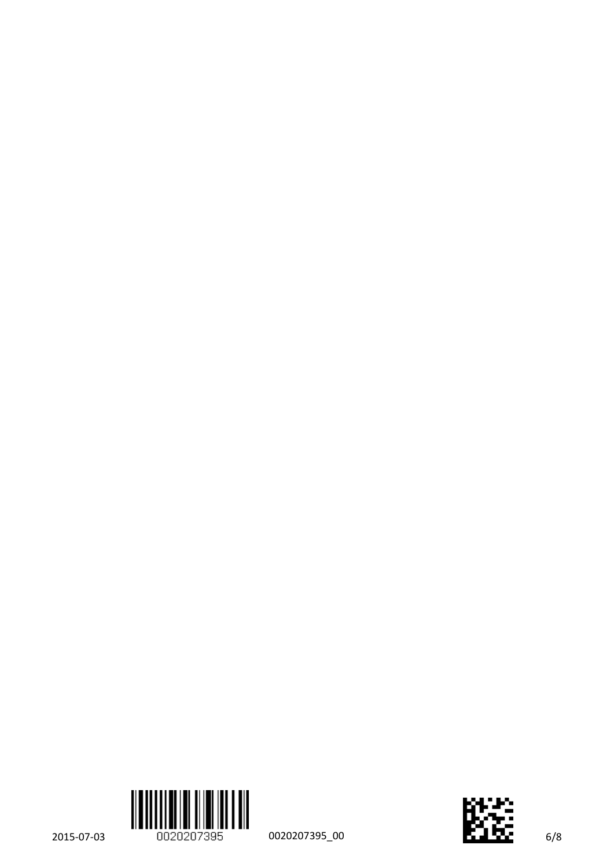

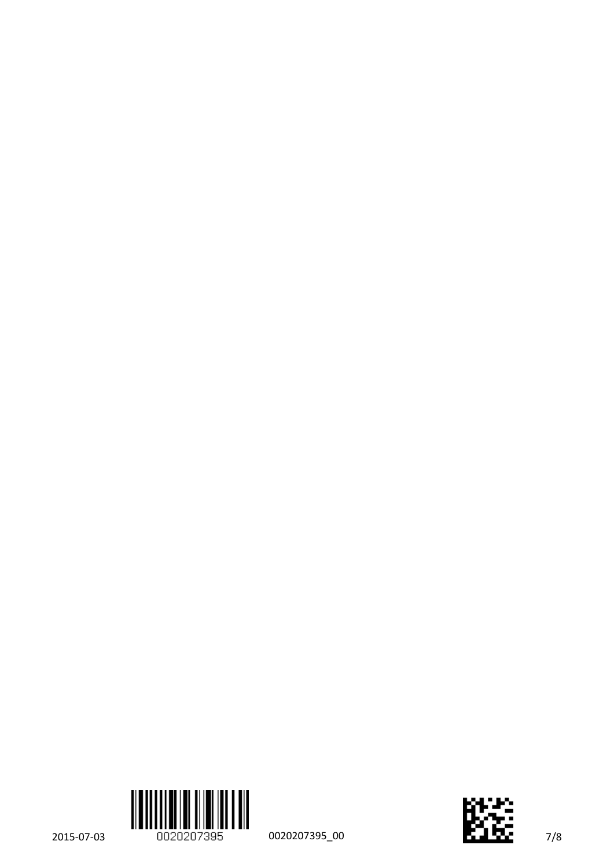